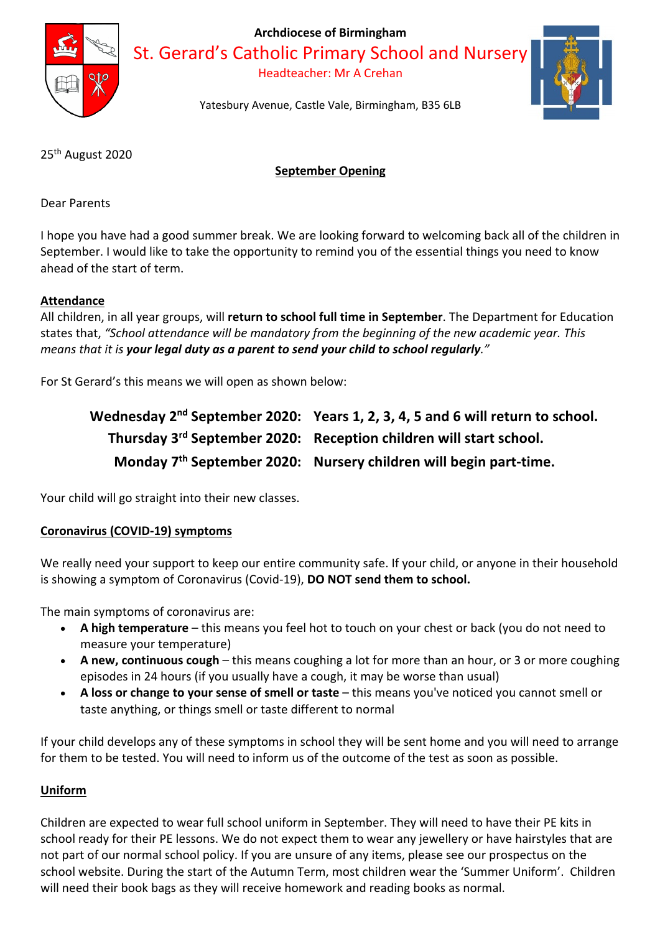

**Archdiocese of Birmingham**

St. Gerard's Catholic Primary School and Nursery

Headteacher: Mr A Crehan



Yatesbury Avenue, Castle Vale, Birmingham, B35 6LB

25th August 2020

# **September Opening**

Dear Parents

I hope you have had a good summer break. We are looking forward to welcoming back all of the children in September. I would like to take the opportunity to remind you of the essential things you need to know ahead of the start of term.

## **Attendance**

All children, in all year groups, will **return to school full time in September**. The Department for Education states that, *"School attendance will be mandatory from the beginning of the new academic year. This means that it is your legal duty as a parent to send your child to school regularly."* 

For St Gerard's this means we will open as shown below:

| Wednesday 2 <sup>nd</sup> September 2020: Years 1, 2, 3, 4, 5 and 6 will return to school. |
|--------------------------------------------------------------------------------------------|
| Thursday 3rd September 2020: Reception children will start school.                         |
| Monday 7 <sup>th</sup> September 2020: Nursery children will begin part-time.              |

Your child will go straight into their new classes.

# **Coronavirus (COVID-19) symptoms**

We really need your support to keep our entire community safe. If your child, or anyone in their household is showing a symptom of Coronavirus (Covid-19), **DO NOT send them to school.** 

The main symptoms of coronavirus are:

- **A high temperature** this means you feel hot to touch on your chest or back (you do not need to measure your temperature)
- **A new, continuous cough** this means coughing a lot for more than an hour, or 3 or more coughing episodes in 24 hours (if you usually have a cough, it may be worse than usual)
- **A loss or change to your sense of smell or taste** this means you've noticed you cannot smell or taste anything, or things smell or taste different to normal

If your child develops any of these symptoms in school they will be sent home and you will need to arrange for them to be tested. You will need to inform us of the outcome of the test as soon as possible.

# **Uniform**

Children are expected to wear full school uniform in September. They will need to have their PE kits in school ready for their PE lessons. We do not expect them to wear any jewellery or have hairstyles that are not part of our normal school policy. If you are unsure of any items, please see our prospectus on the school website. During the start of the Autumn Term, most children wear the 'Summer Uniform'. Children will need their book bags as they will receive homework and reading books as normal.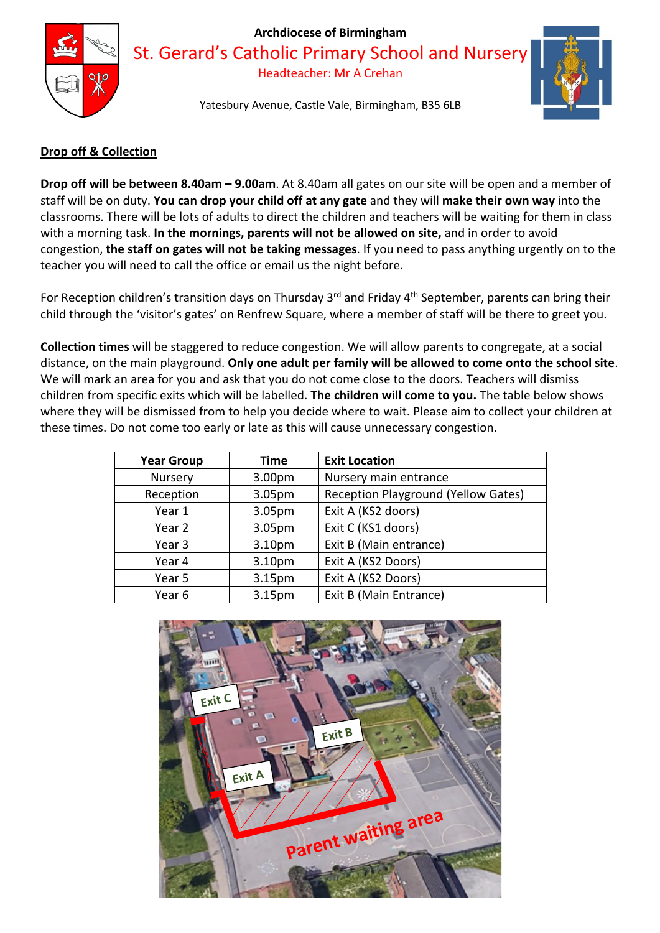

#### **Archdiocese of Birmingham**

St. Gerard's Catholic Primary School and Nursery

Headteacher: Mr A Crehan

Yatesbury Avenue, Castle Vale, Birmingham, B35 6LB



## **Drop off & Collection**

**Drop off will be between 8.40am – 9.00am**. At 8.40am all gates on our site will be open and a member of staff will be on duty. **You can drop your child off at any gate** and they will **make their own way** into the classrooms. There will be lots of adults to direct the children and teachers will be waiting for them in class with a morning task. **In the mornings, parents will not be allowed on site,** and in order to avoid congestion, **the staff on gates will not be taking messages**. If you need to pass anything urgently on to the teacher you will need to call the office or email us the night before.

For Reception children's transition days on Thursday 3<sup>rd</sup> and Friday 4<sup>th</sup> September, parents can bring their child through the 'visitor's gates' on Renfrew Square, where a member of staff will be there to greet you.

**Collection times** will be staggered to reduce congestion. We will allow parents to congregate, at a social distance, on the main playground. **Only one adult per family will be allowed to come onto the school site**. We will mark an area for you and ask that you do not come close to the doors. Teachers will dismiss children from specific exits which will be labelled. **The children will come to you.** The table below shows where they will be dismissed from to help you decide where to wait. Please aim to collect your children at these times. Do not come too early or late as this will cause unnecessary congestion.

| <b>Year Group</b> | Time   | <b>Exit Location</b>                       |
|-------------------|--------|--------------------------------------------|
| Nursery           | 3.00pm | Nursery main entrance                      |
| Reception         | 3.05pm | <b>Reception Playground (Yellow Gates)</b> |
| Year 1            | 3.05pm | Exit A (KS2 doors)                         |
| Year 2            | 3.05pm | Exit C (KS1 doors)                         |
| Year <sub>3</sub> | 3.10pm | Exit B (Main entrance)                     |
| Year 4            | 3.10pm | Exit A (KS2 Doors)                         |
| Year 5            | 3.15pm | Exit A (KS2 Doors)                         |
| Year 6            | 3.15pm | Exit B (Main Entrance)                     |